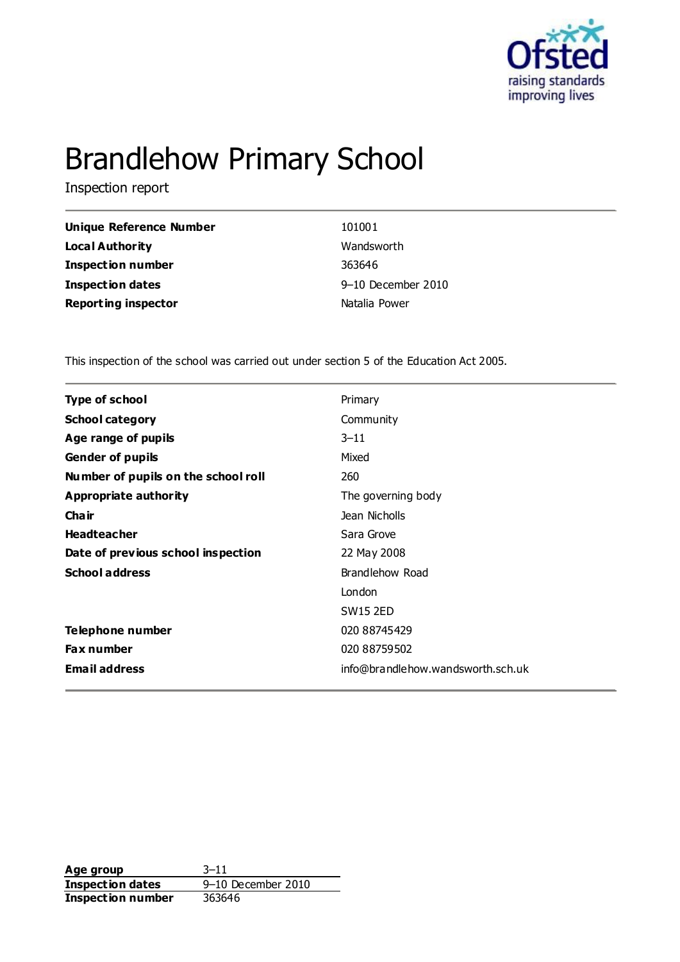

# Brandlehow Primary School

Inspection report

| <b>Unique Reference Number</b> |
|--------------------------------|
| <b>Local Authority</b>         |
| <b>Inspection number</b>       |
| <b>Inspection dates</b>        |
| <b>Reporting inspector</b>     |

**101001 Wandsworth Inspection number** 363646 **Inspection dates** 9–10 December 2010 **Natalia Power** 

This inspection of the school was carried out under section 5 of the Education Act 2005.

| <b>Type of school</b>               | Primary                           |
|-------------------------------------|-----------------------------------|
| <b>School category</b>              | Community                         |
| Age range of pupils                 | $3 - 11$                          |
| <b>Gender of pupils</b>             | Mixed                             |
| Number of pupils on the school roll | 260                               |
| Appropriate authority               | The governing body                |
| Cha ir                              | Jean Nicholls                     |
| <b>Headteacher</b>                  | Sara Grove                        |
| Date of previous school inspection  | 22 May 2008                       |
| <b>School address</b>               | Brandlehow Road                   |
|                                     | London                            |
|                                     | <b>SW15 2ED</b>                   |
| Telephone number                    | 020 88745429                      |
| <b>Fax number</b>                   | 020 88759502                      |
| <b>Email address</b>                | info@brandlehow.wandsworth.sch.uk |

**Age group** 3–11 **Inspection dates** 9–10 December 2010 **Inspection number** 363646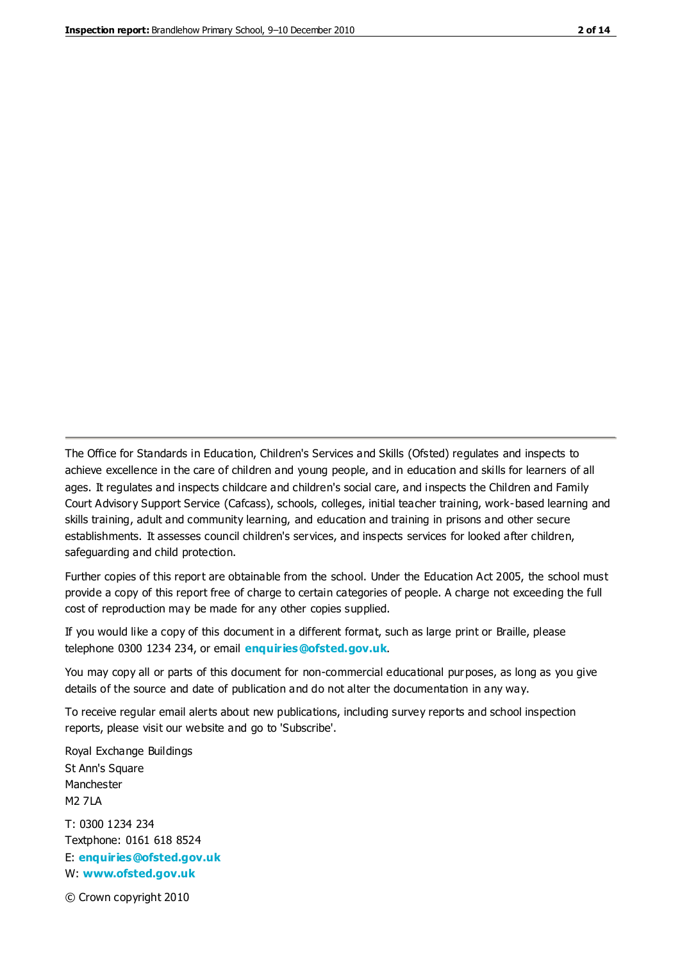The Office for Standards in Education, Children's Services and Skills (Ofsted) regulates and inspects to achieve excellence in the care of children and young people, and in education and skills for learners of all ages. It regulates and inspects childcare and children's social care, and inspects the Children and Family Court Advisory Support Service (Cafcass), schools, colleges, initial teacher training, work-based learning and skills training, adult and community learning, and education and training in prisons and other secure establishments. It assesses council children's services, and inspects services for looked after children, safeguarding and child protection.

Further copies of this report are obtainable from the school. Under the Education Act 2005, the school must provide a copy of this report free of charge to certain categories of people. A charge not exceeding the full cost of reproduction may be made for any other copies supplied.

If you would like a copy of this document in a different format, such as large print or Braille, please telephone 0300 1234 234, or email **[enquiries@ofsted.gov.uk](mailto:enquiries@ofsted.gov.uk)**.

You may copy all or parts of this document for non-commercial educational purposes, as long as you give details of the source and date of publication and do not alter the documentation in any way.

To receive regular email alerts about new publications, including survey reports and school inspection reports, please visit our website and go to 'Subscribe'.

Royal Exchange Buildings St Ann's Square Manchester M2 7LA T: 0300 1234 234 Textphone: 0161 618 8524 E: **[enquiries@ofsted.gov.uk](mailto:enquiries@ofsted.gov.uk)** W: **[www.ofsted.gov.uk](http://www.ofsted.gov.uk/)**

© Crown copyright 2010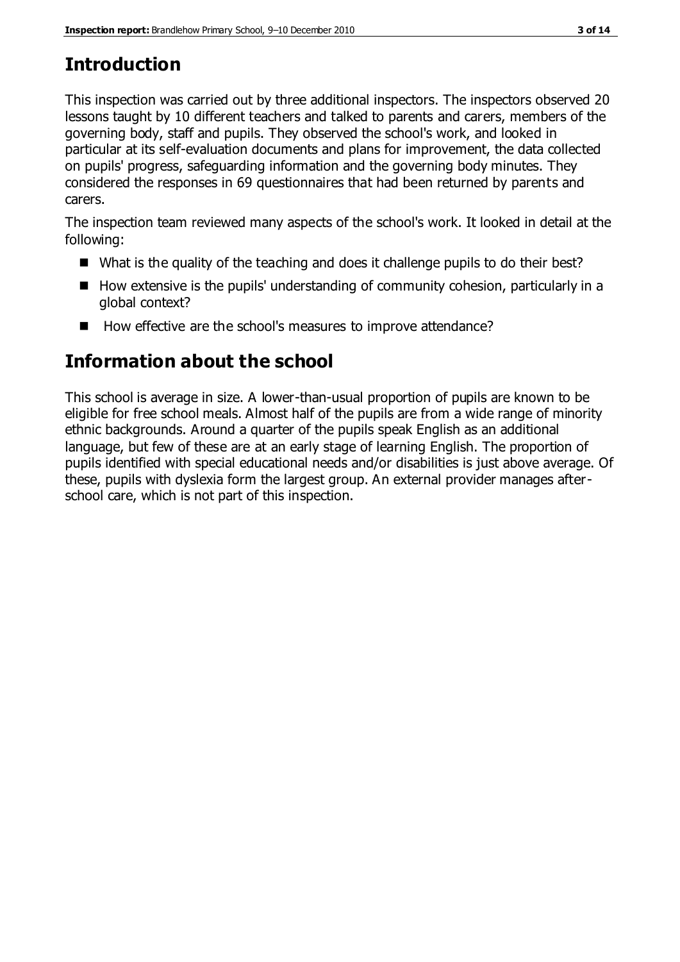# **Introduction**

This inspection was carried out by three additional inspectors. The inspectors observed 20 lessons taught by 10 different teachers and talked to parents and carers, members of the governing body, staff and pupils. They observed the school's work, and looked in particular at its self-evaluation documents and plans for improvement, the data collected on pupils' progress, safeguarding information and the governing body minutes. They considered the responses in 69 questionnaires that had been returned by parents and carers.

The inspection team reviewed many aspects of the school's work. It looked in detail at the following:

- What is the quality of the teaching and does it challenge pupils to do their best?
- $\blacksquare$  How extensive is the pupils' understanding of community cohesion, particularly in a global context?
- How effective are the school's measures to improve attendance?

# **Information about the school**

This school is average in size. A lower-than-usual proportion of pupils are known to be eligible for free school meals. Almost half of the pupils are from a wide range of minority ethnic backgrounds. Around a quarter of the pupils speak English as an additional language, but few of these are at an early stage of learning English. The proportion of pupils identified with special educational needs and/or disabilities is just above average. Of these, pupils with dyslexia form the largest group. An external provider manages afterschool care, which is not part of this inspection.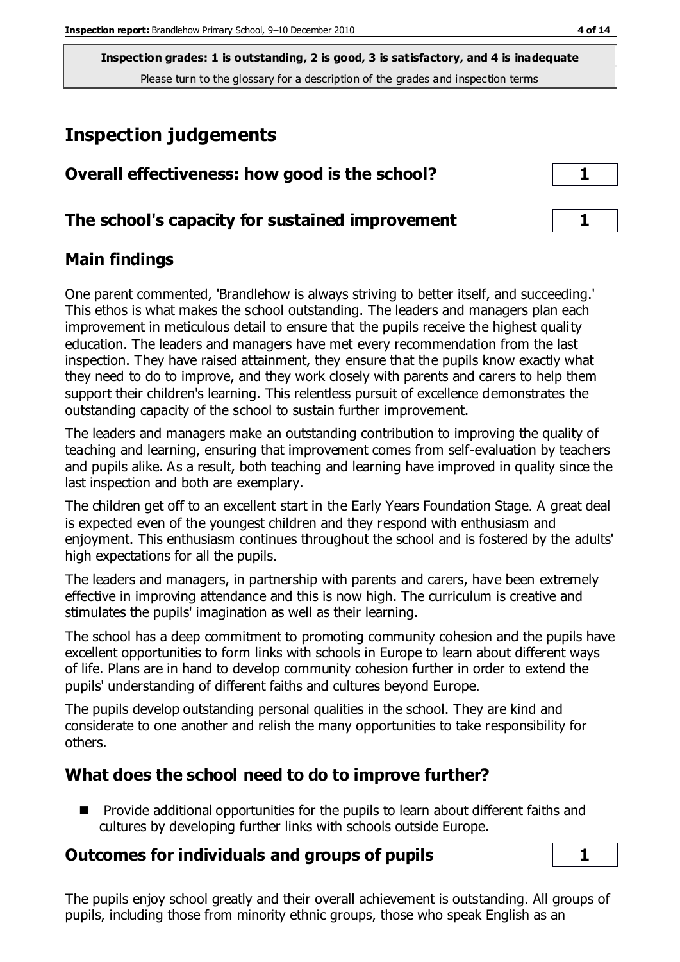# **Inspection judgements**

| Overall effectiveness: how good is the school?  |  |
|-------------------------------------------------|--|
| The school's capacity for sustained improvement |  |

## **Main findings**

One parent commented, 'Brandlehow is always striving to better itself, and succeeding.' This ethos is what makes the school outstanding. The leaders and managers plan each improvement in meticulous detail to ensure that the pupils receive the highest quality education. The leaders and managers have met every recommendation from the last inspection. They have raised attainment, they ensure that the pupils know exactly what they need to do to improve, and they work closely with parents and carers to help them support their children's learning. This relentless pursuit of excellence demonstrates the outstanding capacity of the school to sustain further improvement.

The leaders and managers make an outstanding contribution to improving the quality of teaching and learning, ensuring that improvement comes from self-evaluation by teachers and pupils alike. As a result, both teaching and learning have improved in quality since the last inspection and both are exemplary.

The children get off to an excellent start in the Early Years Foundation Stage. A great deal is expected even of the youngest children and they respond with enthusiasm and enjoyment. This enthusiasm continues throughout the school and is fostered by the adults' high expectations for all the pupils.

The leaders and managers, in partnership with parents and carers, have been extremely effective in improving attendance and this is now high. The curriculum is creative and stimulates the pupils' imagination as well as their learning.

The school has a deep commitment to promoting community cohesion and the pupils have excellent opportunities to form links with schools in Europe to learn about different ways of life. Plans are in hand to develop community cohesion further in order to extend the pupils' understanding of different faiths and cultures beyond Europe.

The pupils develop outstanding personal qualities in the school. They are kind and considerate to one another and relish the many opportunities to take responsibility for others.

## **What does the school need to do to improve further?**

**Provide additional opportunities for the pupils to learn about different faiths and** cultures by developing further links with schools outside Europe.

## **Outcomes for individuals and groups of pupils 1**

The pupils enjoy school greatly and their overall achievement is outstanding. All groups of pupils, including those from minority ethnic groups, those who speak English as an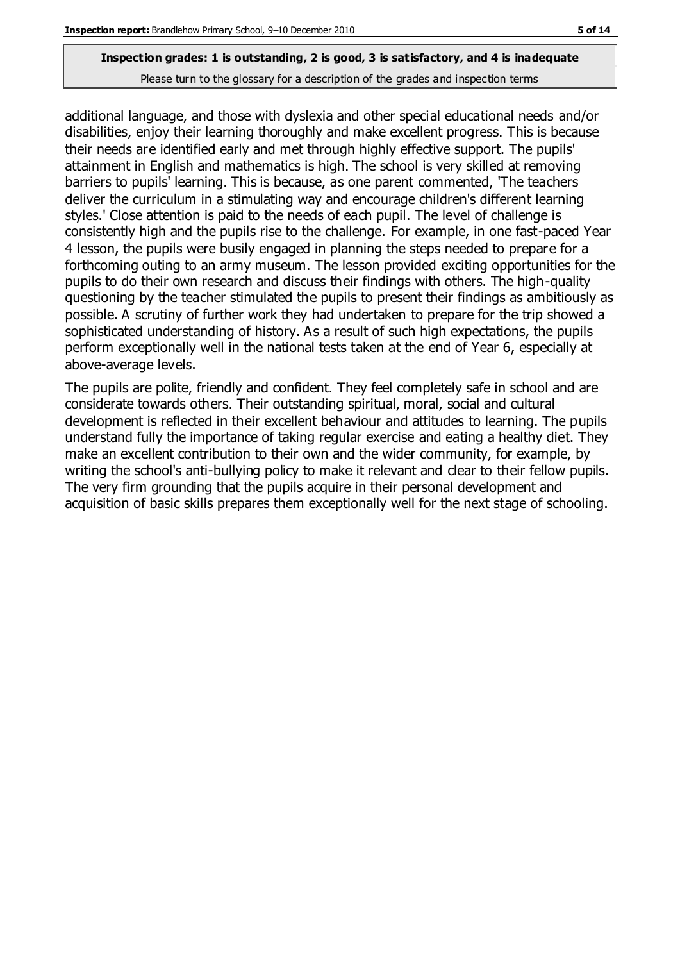additional language, and those with dyslexia and other special educational needs and/or disabilities, enjoy their learning thoroughly and make excellent progress. This is because their needs are identified early and met through highly effective support. The pupils' attainment in English and mathematics is high. The school is very skilled at removing barriers to pupils' learning. This is because, as one parent commented, 'The teachers deliver the curriculum in a stimulating way and encourage children's different learning styles.' Close attention is paid to the needs of each pupil. The level of challenge is consistently high and the pupils rise to the challenge. For example, in one fast-paced Year 4 lesson, the pupils were busily engaged in planning the steps needed to prepare for a forthcoming outing to an army museum. The lesson provided exciting opportunities for the pupils to do their own research and discuss their findings with others. The high-quality questioning by the teacher stimulated the pupils to present their findings as ambitiously as possible. A scrutiny of further work they had undertaken to prepare for the trip showed a sophisticated understanding of history. As a result of such high expectations, the pupils perform exceptionally well in the national tests taken at the end of Year 6, especially at above-average levels.

The pupils are polite, friendly and confident. They feel completely safe in school and are considerate towards others. Their outstanding spiritual, moral, social and cultural development is reflected in their excellent behaviour and attitudes to learning. The pupils understand fully the importance of taking regular exercise and eating a healthy diet. They make an excellent contribution to their own and the wider community, for example, by writing the school's anti-bullying policy to make it relevant and clear to their fellow pupils. The very firm grounding that the pupils acquire in their personal development and acquisition of basic skills prepares them exceptionally well for the next stage of schooling.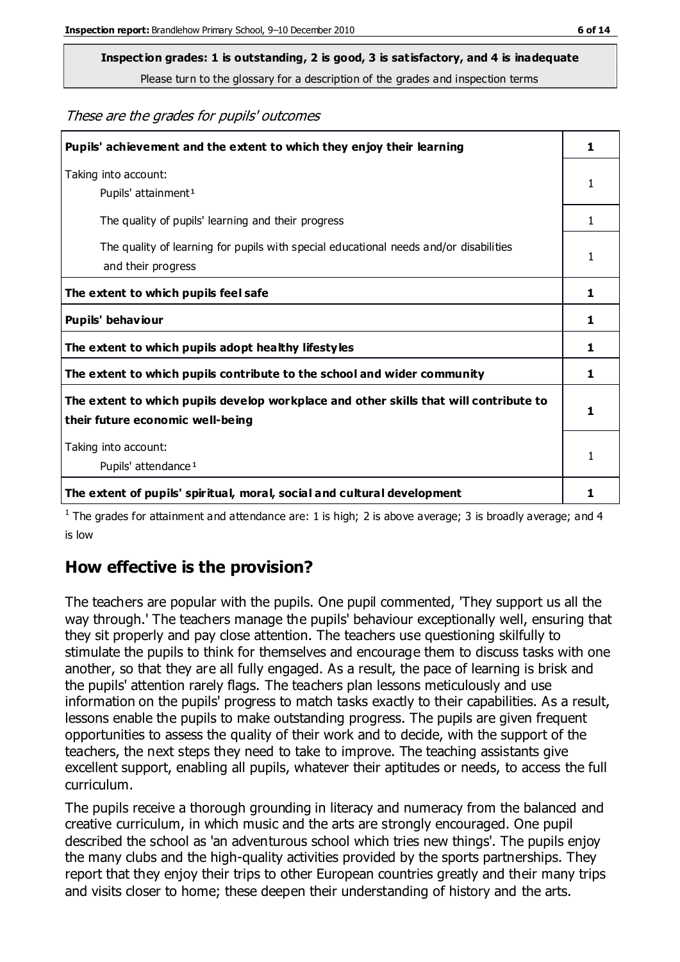# **Inspection grades: 1 is outstanding, 2 is good, 3 is satisfactory, and 4 is inadequate**

Please turn to the glossary for a description of the grades and inspection terms

#### These are the grades for pupils' outcomes

| Pupils' achievement and the extent to which they enjoy their learning                                                     | 1 |
|---------------------------------------------------------------------------------------------------------------------------|---|
| Taking into account:<br>Pupils' attainment <sup>1</sup>                                                                   | 1 |
| The quality of pupils' learning and their progress                                                                        | 1 |
| The quality of learning for pupils with special educational needs and/or disabilities<br>and their progress               | 1 |
| The extent to which pupils feel safe                                                                                      | 1 |
| Pupils' behaviour                                                                                                         | 1 |
| The extent to which pupils adopt healthy lifestyles                                                                       | 1 |
| The extent to which pupils contribute to the school and wider community                                                   | 1 |
| The extent to which pupils develop workplace and other skills that will contribute to<br>their future economic well-being |   |
| Taking into account:<br>Pupils' attendance <sup>1</sup>                                                                   | 1 |
| The extent of pupils' spiritual, moral, social and cultural development                                                   | 1 |

<sup>1</sup> The grades for attainment and attendance are: 1 is high; 2 is above average; 3 is broadly average; and 4 is low

## **How effective is the provision?**

The teachers are popular with the pupils. One pupil commented, 'They support us all the way through.' The teachers manage the pupils' behaviour exceptionally well, ensuring that they sit properly and pay close attention. The teachers use questioning skilfully to stimulate the pupils to think for themselves and encourage them to discuss tasks with one another, so that they are all fully engaged. As a result, the pace of learning is brisk and the pupils' attention rarely flags. The teachers plan lessons meticulously and use information on the pupils' progress to match tasks exactly to their capabilities. As a result, lessons enable the pupils to make outstanding progress. The pupils are given frequent opportunities to assess the quality of their work and to decide, with the support of the teachers, the next steps they need to take to improve. The teaching assistants give excellent support, enabling all pupils, whatever their aptitudes or needs, to access the full curriculum.

The pupils receive a thorough grounding in literacy and numeracy from the balanced and creative curriculum, in which music and the arts are strongly encouraged. One pupil described the school as 'an adventurous school which tries new things'. The pupils enjoy the many clubs and the high-quality activities provided by the sports partnerships. They report that they enjoy their trips to other European countries greatly and their many trips and visits closer to home; these deepen their understanding of history and the arts.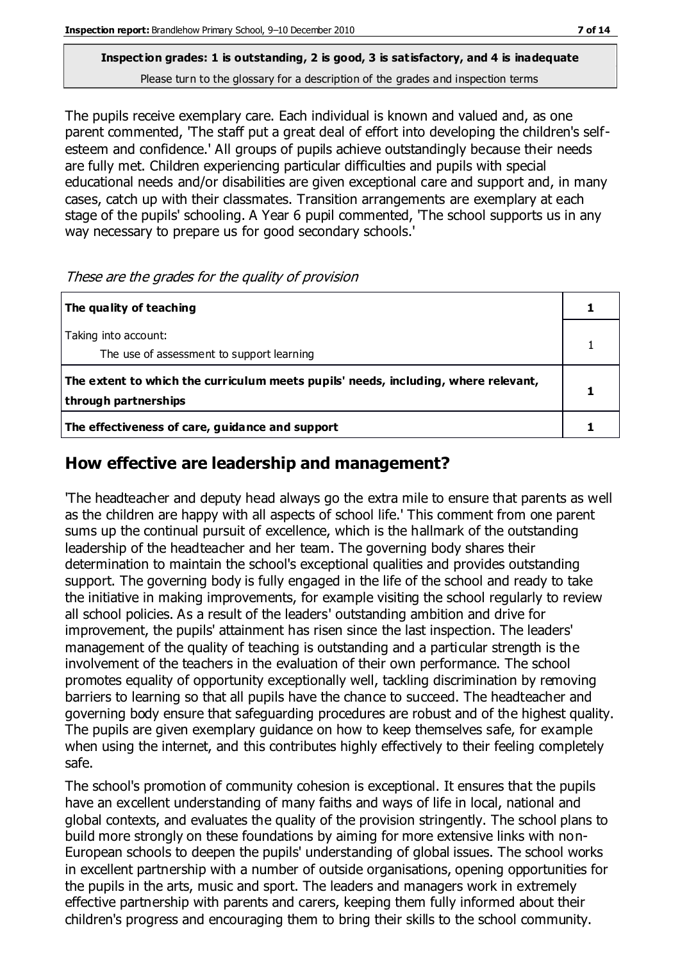The pupils receive exemplary care. Each individual is known and valued and, as one parent commented, 'The staff put a great deal of effort into developing the children's selfesteem and confidence.' All groups of pupils achieve outstandingly because their needs are fully met. Children experiencing particular difficulties and pupils with special educational needs and/or disabilities are given exceptional care and support and, in many cases, catch up with their classmates. Transition arrangements are exemplary at each stage of the pupils' schooling. A Year 6 pupil commented, 'The school supports us in any way necessary to prepare us for good secondary schools.'

These are the grades for the quality of provision

| The quality of teaching                                                                                    |  |
|------------------------------------------------------------------------------------------------------------|--|
| Taking into account:<br>The use of assessment to support learning                                          |  |
| The extent to which the curriculum meets pupils' needs, including, where relevant,<br>through partnerships |  |
| The effectiveness of care, guidance and support                                                            |  |

## **How effective are leadership and management?**

'The headteacher and deputy head always go the extra mile to ensure that parents as well as the children are happy with all aspects of school life.' This comment from one parent sums up the continual pursuit of excellence, which is the hallmark of the outstanding leadership of the headteacher and her team. The governing body shares their determination to maintain the school's exceptional qualities and provides outstanding support. The governing body is fully engaged in the life of the school and ready to take the initiative in making improvements, for example visiting the school regularly to review all school policies. As a result of the leaders' outstanding ambition and drive for improvement, the pupils' attainment has risen since the last inspection. The leaders' management of the quality of teaching is outstanding and a particular strength is the involvement of the teachers in the evaluation of their own performance. The school promotes equality of opportunity exceptionally well, tackling discrimination by removing barriers to learning so that all pupils have the chance to succeed. The headteacher and governing body ensure that safeguarding procedures are robust and of the highest quality. The pupils are given exemplary guidance on how to keep themselves safe, for example when using the internet, and this contributes highly effectively to their feeling completely safe.

The school's promotion of community cohesion is exceptional. It ensures that the pupils have an excellent understanding of many faiths and ways of life in local, national and global contexts, and evaluates the quality of the provision stringently. The school plans to build more strongly on these foundations by aiming for more extensive links with non-European schools to deepen the pupils' understanding of global issues. The school works in excellent partnership with a number of outside organisations, opening opportunities for the pupils in the arts, music and sport. The leaders and managers work in extremely effective partnership with parents and carers, keeping them fully informed about their children's progress and encouraging them to bring their skills to the school community.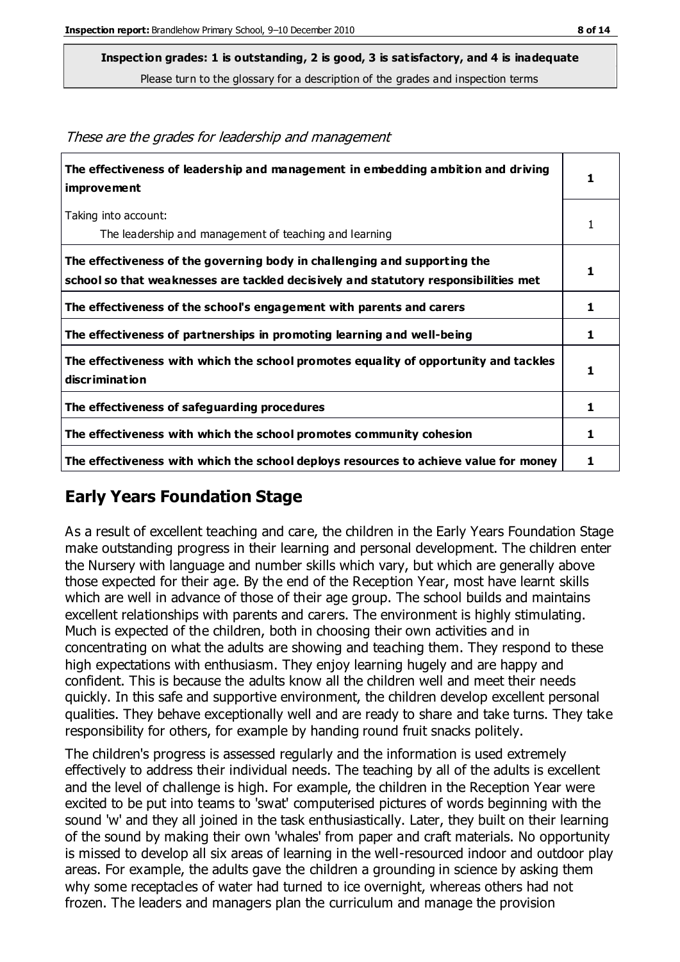**Inspection grades: 1 is outstanding, 2 is good, 3 is satisfactory, and 4 is inadequate**

Please turn to the glossary for a description of the grades and inspection terms

| The effectiveness of leadership and management in embedding ambition and driving<br>improvement                                                                  | 1 |
|------------------------------------------------------------------------------------------------------------------------------------------------------------------|---|
| Taking into account:                                                                                                                                             | 1 |
| The leadership and management of teaching and learning                                                                                                           |   |
| The effectiveness of the governing body in challenging and supporting the<br>school so that weaknesses are tackled decisively and statutory responsibilities met | 1 |
| The effectiveness of the school's engagement with parents and carers                                                                                             | 1 |
| The effectiveness of partnerships in promoting learning and well-being                                                                                           | 1 |
| The effectiveness with which the school promotes equality of opportunity and tackles<br>discrimination                                                           | 1 |
| The effectiveness of safeguarding procedures                                                                                                                     | 1 |
| The effectiveness with which the school promotes community cohesion                                                                                              | 1 |
| The effectiveness with which the school deploys resources to achieve value for money                                                                             | 1 |

These are the grades for leadership and management

## **Early Years Foundation Stage**

As a result of excellent teaching and care, the children in the Early Years Foundation Stage make outstanding progress in their learning and personal development. The children enter the Nursery with language and number skills which vary, but which are generally above those expected for their age. By the end of the Reception Year, most have learnt skills which are well in advance of those of their age group. The school builds and maintains excellent relationships with parents and carers. The environment is highly stimulating. Much is expected of the children, both in choosing their own activities and in concentrating on what the adults are showing and teaching them. They respond to these high expectations with enthusiasm. They enjoy learning hugely and are happy and confident. This is because the adults know all the children well and meet their needs quickly. In this safe and supportive environment, the children develop excellent personal qualities. They behave exceptionally well and are ready to share and take turns. They take responsibility for others, for example by handing round fruit snacks politely.

The children's progress is assessed regularly and the information is used extremely effectively to address their individual needs. The teaching by all of the adults is excellent and the level of challenge is high. For example, the children in the Reception Year were excited to be put into teams to 'swat' computerised pictures of words beginning with the sound 'w' and they all joined in the task enthusiastically. Later, they built on their learning of the sound by making their own 'whales' from paper and craft materials. No opportunity is missed to develop all six areas of learning in the well-resourced indoor and outdoor play areas. For example, the adults gave the children a grounding in science by asking them why some receptacles of water had turned to ice overnight, whereas others had not frozen. The leaders and managers plan the curriculum and manage the provision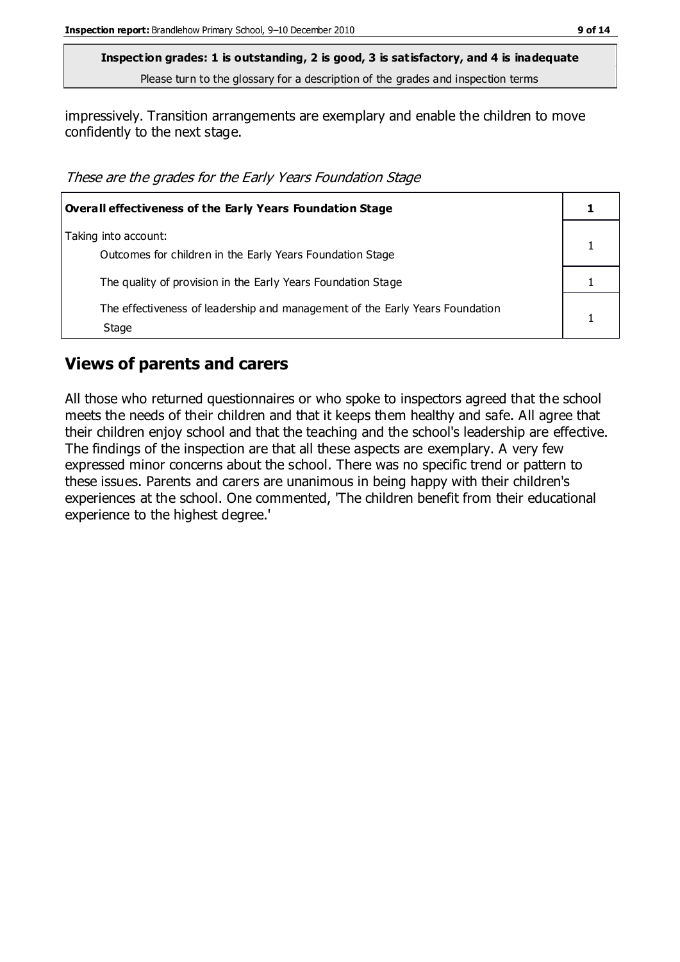impressively. Transition arrangements are exemplary and enable the children to move confidently to the next stage.

These are the grades for the Early Years Foundation Stage

| Overall effectiveness of the Early Years Foundation Stage                             |  |
|---------------------------------------------------------------------------------------|--|
| Taking into account:<br>Outcomes for children in the Early Years Foundation Stage     |  |
| The quality of provision in the Early Years Foundation Stage                          |  |
| The effectiveness of leadership and management of the Early Years Foundation<br>Stage |  |

#### **Views of parents and carers**

All those who returned questionnaires or who spoke to inspectors agreed that the school meets the needs of their children and that it keeps them healthy and safe. All agree that their children enjoy school and that the teaching and the school's leadership are effective. The findings of the inspection are that all these aspects are exemplary. A very few expressed minor concerns about the school. There was no specific trend or pattern to these issues. Parents and carers are unanimous in being happy with their children's experiences at the school. One commented, 'The children benefit from their educational experience to the highest degree.'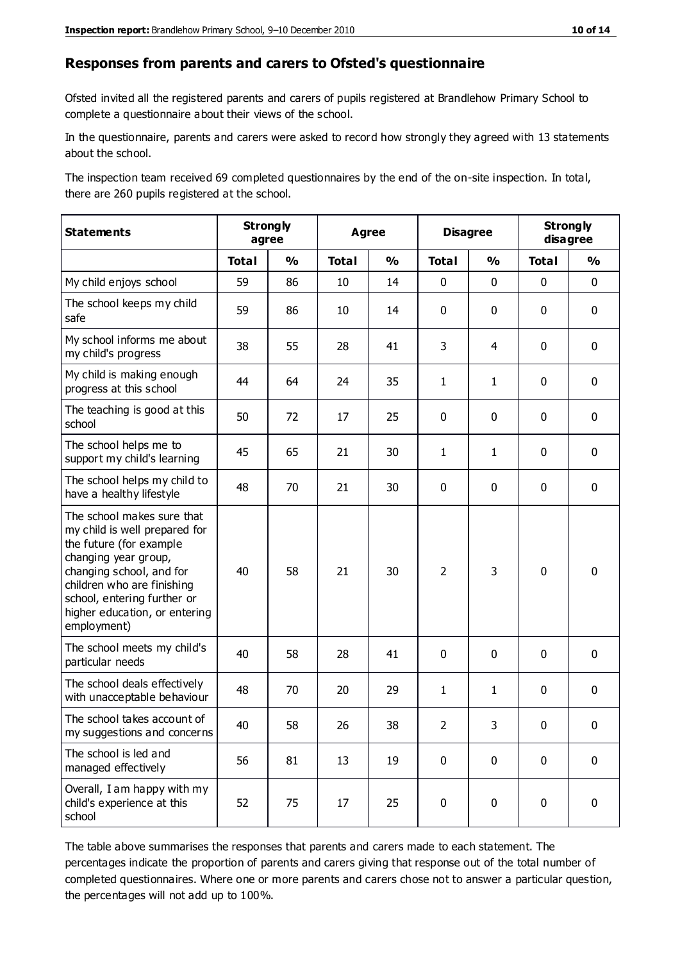#### **Responses from parents and carers to Ofsted's questionnaire**

Ofsted invited all the registered parents and carers of pupils registered at Brandlehow Primary School to complete a questionnaire about their views of the school.

In the questionnaire, parents and carers were asked to record how strongly they agreed with 13 statements about the school.

The inspection team received 69 completed questionnaires by the end of the on-site inspection. In total, there are 260 pupils registered at the school.

| <b>Statements</b>                                                                                                                                                                                                                                       | <b>Strongly</b><br>agree |               | <b>Agree</b> |               | <b>Disagree</b> |               | <b>Strongly</b><br>disagree |               |
|---------------------------------------------------------------------------------------------------------------------------------------------------------------------------------------------------------------------------------------------------------|--------------------------|---------------|--------------|---------------|-----------------|---------------|-----------------------------|---------------|
|                                                                                                                                                                                                                                                         | <b>Total</b>             | $\frac{0}{0}$ | <b>Total</b> | $\frac{1}{2}$ | <b>Total</b>    | $\frac{1}{2}$ | <b>Total</b>                | $\frac{1}{2}$ |
| My child enjoys school                                                                                                                                                                                                                                  | 59                       | 86            | 10           | 14            | 0               | 0             | $\mathbf 0$                 | $\mathbf 0$   |
| The school keeps my child<br>safe                                                                                                                                                                                                                       | 59                       | 86            | 10           | 14            | 0               | 0             | $\mathbf 0$                 | $\mathbf 0$   |
| My school informs me about<br>my child's progress                                                                                                                                                                                                       | 38                       | 55            | 28           | 41            | 3               | 4             | $\mathbf 0$                 | $\mathbf 0$   |
| My child is making enough<br>progress at this school                                                                                                                                                                                                    | 44                       | 64            | 24           | 35            | $\mathbf{1}$    | 1             | $\mathbf 0$                 | $\mathbf 0$   |
| The teaching is good at this<br>school                                                                                                                                                                                                                  | 50                       | 72            | 17           | 25            | 0               | 0             | 0                           | $\mathbf 0$   |
| The school helps me to<br>support my child's learning                                                                                                                                                                                                   | 45                       | 65            | 21           | 30            | 1               | 1             | 0                           | $\mathbf 0$   |
| The school helps my child to<br>have a healthy lifestyle                                                                                                                                                                                                | 48                       | 70            | 21           | 30            | 0               | 0             | 0                           | $\pmb{0}$     |
| The school makes sure that<br>my child is well prepared for<br>the future (for example<br>changing year group,<br>changing school, and for<br>children who are finishing<br>school, entering further or<br>higher education, or entering<br>employment) | 40                       | 58            | 21           | 30            | $\overline{2}$  | 3             | $\mathbf 0$                 | $\mathbf 0$   |
| The school meets my child's<br>particular needs                                                                                                                                                                                                         | 40                       | 58            | 28           | 41            | 0               | 0             | $\mathbf 0$                 | $\mathbf 0$   |
| The school deals effectively<br>with unacceptable behaviour                                                                                                                                                                                             | 48                       | 70            | 20           | 29            | 1               | 1             | $\mathbf 0$                 | $\pmb{0}$     |
| The school takes account of<br>my suggestions and concerns                                                                                                                                                                                              | 40                       | 58            | 26           | 38            | 2               | 3             | $\mathbf{0}$                | $\mathbf{0}$  |
| The school is led and<br>managed effectively                                                                                                                                                                                                            | 56                       | 81            | 13           | 19            | 0               | $\mathbf 0$   | $\mathbf 0$                 | $\mathbf 0$   |
| Overall, I am happy with my<br>child's experience at this<br>school                                                                                                                                                                                     | 52                       | 75            | 17           | 25            | 0               | $\pmb{0}$     | $\mathbf 0$                 | $\pmb{0}$     |

The table above summarises the responses that parents and carers made to each statement. The percentages indicate the proportion of parents and carers giving that response out of the total number of completed questionnaires. Where one or more parents and carers chose not to answer a particular question, the percentages will not add up to 100%.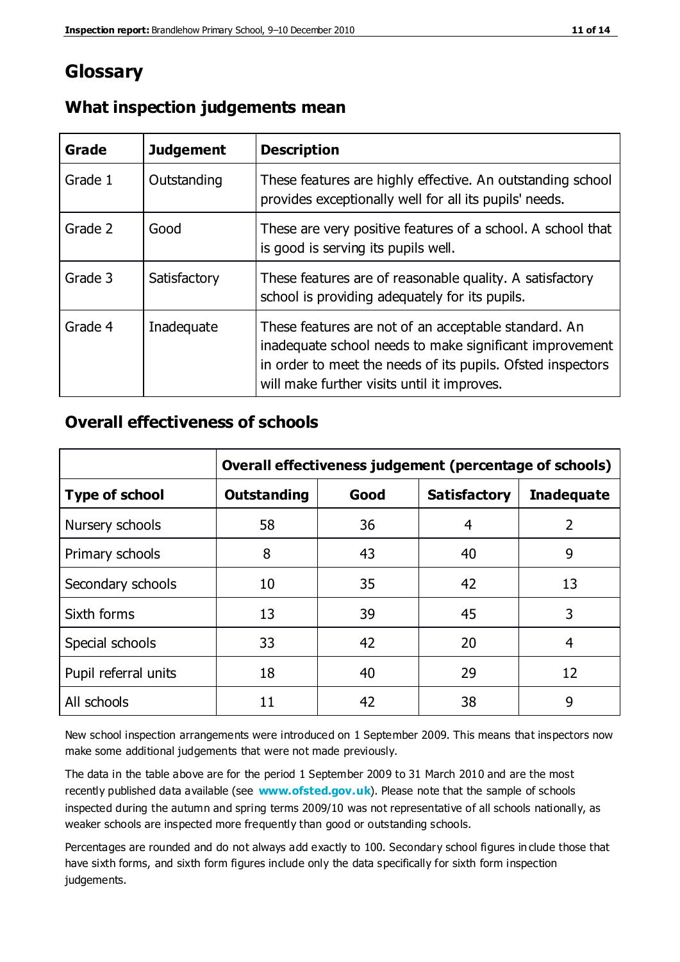# **Glossary**

| Grade   | <b>Judgement</b> | <b>Description</b>                                                                                                                                                                                                            |
|---------|------------------|-------------------------------------------------------------------------------------------------------------------------------------------------------------------------------------------------------------------------------|
| Grade 1 | Outstanding      | These features are highly effective. An outstanding school<br>provides exceptionally well for all its pupils' needs.                                                                                                          |
| Grade 2 | Good             | These are very positive features of a school. A school that<br>is good is serving its pupils well.                                                                                                                            |
| Grade 3 | Satisfactory     | These features are of reasonable quality. A satisfactory<br>school is providing adequately for its pupils.                                                                                                                    |
| Grade 4 | Inadequate       | These features are not of an acceptable standard. An<br>inadequate school needs to make significant improvement<br>in order to meet the needs of its pupils. Ofsted inspectors<br>will make further visits until it improves. |

## **What inspection judgements mean**

## **Overall effectiveness of schools**

|                       | Overall effectiveness judgement (percentage of schools) |      |                     |                   |
|-----------------------|---------------------------------------------------------|------|---------------------|-------------------|
| <b>Type of school</b> | <b>Outstanding</b>                                      | Good | <b>Satisfactory</b> | <b>Inadequate</b> |
| Nursery schools       | 58                                                      | 36   | 4                   | 2                 |
| Primary schools       | 8                                                       | 43   | 40                  | 9                 |
| Secondary schools     | 10                                                      | 35   | 42                  | 13                |
| Sixth forms           | 13                                                      | 39   | 45                  | 3                 |
| Special schools       | 33                                                      | 42   | 20                  | 4                 |
| Pupil referral units  | 18                                                      | 40   | 29                  | 12                |
| All schools           | 11                                                      | 42   | 38                  | 9                 |

New school inspection arrangements were introduced on 1 September 2009. This means that inspectors now make some additional judgements that were not made previously.

The data in the table above are for the period 1 September 2009 to 31 March 2010 and are the most recently published data available (see **[www.ofsted.gov.uk](http://www.ofsted.gov.uk/)**). Please note that the sample of schools inspected during the autumn and spring terms 2009/10 was not representative of all schools nationally, as weaker schools are inspected more frequently than good or outstanding schools.

Percentages are rounded and do not always add exactly to 100. Secondary school figures in clude those that have sixth forms, and sixth form figures include only the data specifically for sixth form inspection judgements.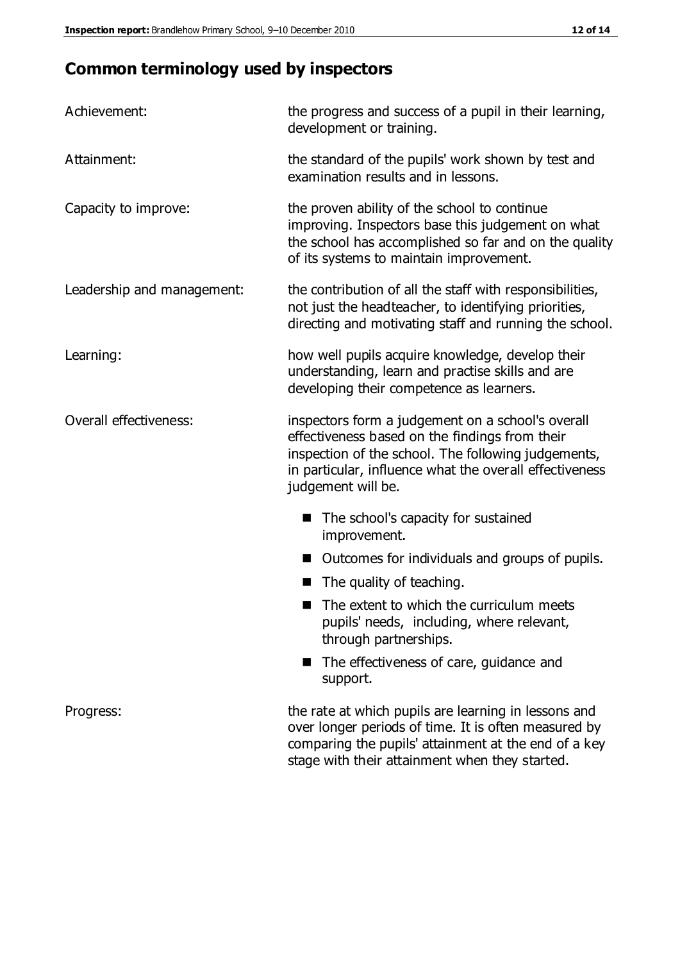# **Common terminology used by inspectors**

| Achievement:               | the progress and success of a pupil in their learning,<br>development or training.                                                                                                                                                          |  |  |
|----------------------------|---------------------------------------------------------------------------------------------------------------------------------------------------------------------------------------------------------------------------------------------|--|--|
| Attainment:                | the standard of the pupils' work shown by test and<br>examination results and in lessons.                                                                                                                                                   |  |  |
| Capacity to improve:       | the proven ability of the school to continue<br>improving. Inspectors base this judgement on what<br>the school has accomplished so far and on the quality<br>of its systems to maintain improvement.                                       |  |  |
| Leadership and management: | the contribution of all the staff with responsibilities,<br>not just the headteacher, to identifying priorities,<br>directing and motivating staff and running the school.                                                                  |  |  |
| Learning:                  | how well pupils acquire knowledge, develop their<br>understanding, learn and practise skills and are<br>developing their competence as learners.                                                                                            |  |  |
| Overall effectiveness:     | inspectors form a judgement on a school's overall<br>effectiveness based on the findings from their<br>inspection of the school. The following judgements,<br>in particular, influence what the overall effectiveness<br>judgement will be. |  |  |
|                            | The school's capacity for sustained<br>improvement.                                                                                                                                                                                         |  |  |
|                            | Outcomes for individuals and groups of pupils.                                                                                                                                                                                              |  |  |
|                            | The quality of teaching.                                                                                                                                                                                                                    |  |  |
|                            | The extent to which the curriculum meets<br>pupils' needs, including, where relevant,<br>through partnerships.                                                                                                                              |  |  |
|                            | The effectiveness of care, guidance and<br>support.                                                                                                                                                                                         |  |  |
| Progress:                  | the rate at which pupils are learning in lessons and<br>over longer periods of time. It is often measured by<br>comparing the pupils' attainment at the end of a key                                                                        |  |  |

stage with their attainment when they started.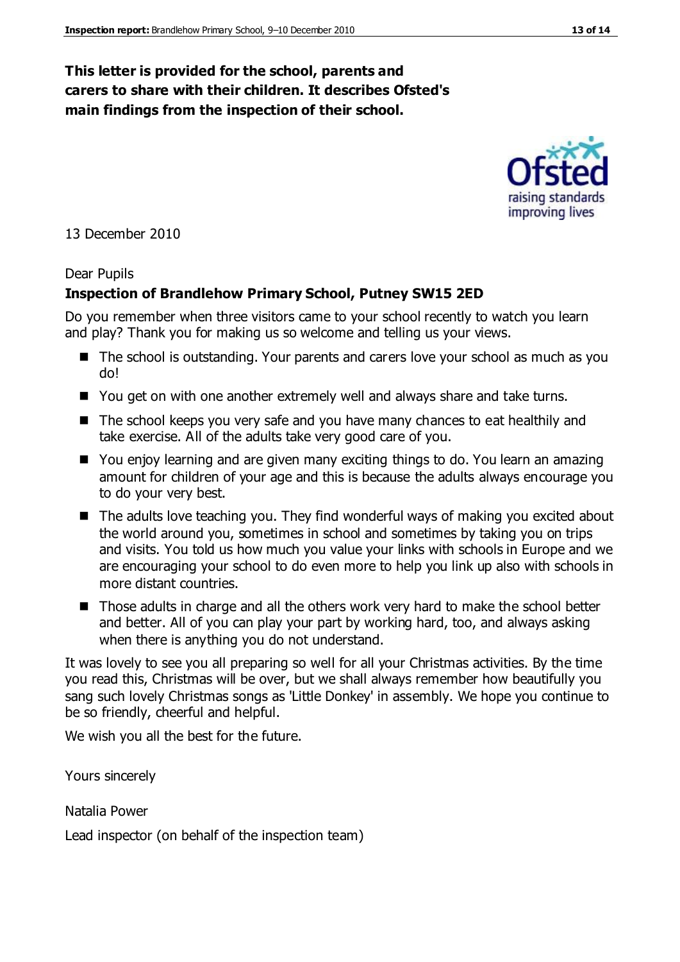### **This letter is provided for the school, parents and carers to share with their children. It describes Ofsted's main findings from the inspection of their school.**

13 December 2010

#### Dear Pupils

#### **Inspection of Brandlehow Primary School, Putney SW15 2ED**

Do you remember when three visitors came to your school recently to watch you learn and play? Thank you for making us so welcome and telling us your views.

- The school is outstanding. Your parents and carers love your school as much as you do!
- You get on with one another extremely well and always share and take turns.
- The school keeps you very safe and you have many chances to eat healthily and take exercise. All of the adults take very good care of you.
- You enjoy learning and are given many exciting things to do. You learn an amazing amount for children of your age and this is because the adults always encourage you to do your very best.
- The adults love teaching you. They find wonderful ways of making you excited about the world around you, sometimes in school and sometimes by taking you on trips and visits. You told us how much you value your links with schools in Europe and we are encouraging your school to do even more to help you link up also with schools in more distant countries.
- Those adults in charge and all the others work very hard to make the school better and better. All of you can play your part by working hard, too, and always asking when there is anything you do not understand.

It was lovely to see you all preparing so well for all your Christmas activities. By the time you read this, Christmas will be over, but we shall always remember how beautifully you sang such lovely Christmas songs as 'Little Donkey' in assembly. We hope you continue to be so friendly, cheerful and helpful.

We wish you all the best for the future.

Yours sincerely

Natalia Power

Lead inspector (on behalf of the inspection team)